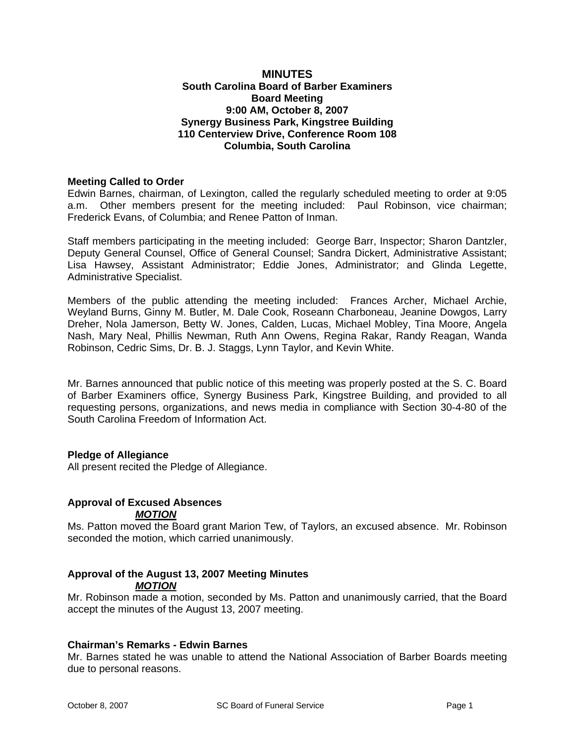## **MINUTES South Carolina Board of Barber Examiners Board Meeting 9:00 AM, October 8, 2007 Synergy Business Park, Kingstree Building 110 Centerview Drive, Conference Room 108 Columbia, South Carolina**

#### **Meeting Called to Order**

Edwin Barnes, chairman, of Lexington, called the regularly scheduled meeting to order at 9:05 a.m. Other members present for the meeting included: Paul Robinson, vice chairman; Frederick Evans, of Columbia; and Renee Patton of Inman.

Staff members participating in the meeting included: George Barr, Inspector; Sharon Dantzler, Deputy General Counsel, Office of General Counsel; Sandra Dickert, Administrative Assistant; Lisa Hawsey, Assistant Administrator; Eddie Jones, Administrator; and Glinda Legette, Administrative Specialist.

Members of the public attending the meeting included: Frances Archer, Michael Archie, Weyland Burns, Ginny M. Butler, M. Dale Cook, Roseann Charboneau, Jeanine Dowgos, Larry Dreher, Nola Jamerson, Betty W. Jones, Calden, Lucas, Michael Mobley, Tina Moore, Angela Nash, Mary Neal, Phillis Newman, Ruth Ann Owens, Regina Rakar, Randy Reagan, Wanda Robinson, Cedric Sims, Dr. B. J. Staggs, Lynn Taylor, and Kevin White.

Mr. Barnes announced that public notice of this meeting was properly posted at the S. C. Board of Barber Examiners office, Synergy Business Park, Kingstree Building, and provided to all requesting persons, organizations, and news media in compliance with Section 30-4-80 of the South Carolina Freedom of Information Act.

#### **Pledge of Allegiance**

All present recited the Pledge of Allegiance.

#### **Approval of Excused Absences**  *MOTION*

Ms. Patton moved the Board grant Marion Tew, of Taylors, an excused absence. Mr. Robinson seconded the motion, which carried unanimously.

## **Approval of the August 13, 2007 Meeting Minutes**  *MOTION*

Mr. Robinson made a motion, seconded by Ms. Patton and unanimously carried, that the Board accept the minutes of the August 13, 2007 meeting.

#### **Chairman's Remarks - Edwin Barnes**

Mr. Barnes stated he was unable to attend the National Association of Barber Boards meeting due to personal reasons.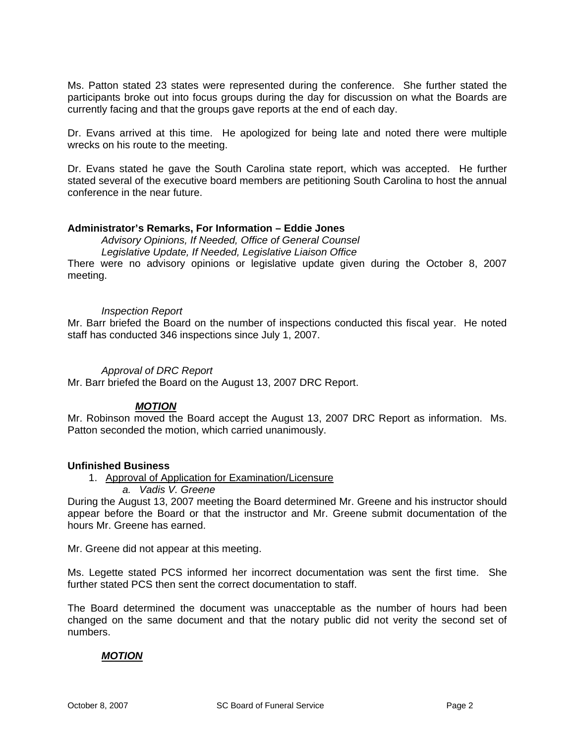Ms. Patton stated 23 states were represented during the conference. She further stated the participants broke out into focus groups during the day for discussion on what the Boards are currently facing and that the groups gave reports at the end of each day.

Dr. Evans arrived at this time. He apologized for being late and noted there were multiple wrecks on his route to the meeting.

Dr. Evans stated he gave the South Carolina state report, which was accepted. He further stated several of the executive board members are petitioning South Carolina to host the annual conference in the near future.

#### **Administrator's Remarks, For Information – Eddie Jones**

*Advisory Opinions, If Needed, Office of General Counsel Legislative Update, If Needed, Legislative Liaison Office* 

There were no advisory opinions or legislative update given during the October 8, 2007 meeting.

#### *Inspection Report*

Mr. Barr briefed the Board on the number of inspections conducted this fiscal year. He noted staff has conducted 346 inspections since July 1, 2007.

#### *Approval of DRC Report*

Mr. Barr briefed the Board on the August 13, 2007 DRC Report.

# *MOTION*

Mr. Robinson moved the Board accept the August 13, 2007 DRC Report as information. Ms. Patton seconded the motion, which carried unanimously.

#### **Unfinished Business**

1. Approval of Application for Examination/Licensure

*a. Vadis V. Greene* 

During the August 13, 2007 meeting the Board determined Mr. Greene and his instructor should appear before the Board or that the instructor and Mr. Greene submit documentation of the hours Mr. Greene has earned.

Mr. Greene did not appear at this meeting.

Ms. Legette stated PCS informed her incorrect documentation was sent the first time. She further stated PCS then sent the correct documentation to staff.

The Board determined the document was unacceptable as the number of hours had been changed on the same document and that the notary public did not verity the second set of numbers.

#### *MOTION*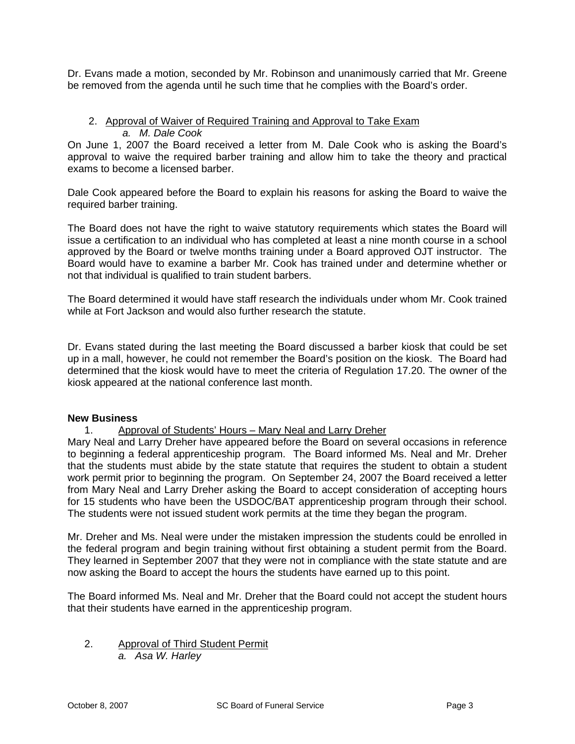Dr. Evans made a motion, seconded by Mr. Robinson and unanimously carried that Mr. Greene be removed from the agenda until he such time that he complies with the Board's order.

#### 2. Approval of Waiver of Required Training and Approval to Take Exam *a. M. Dale Cook*

On June 1, 2007 the Board received a letter from M. Dale Cook who is asking the Board's approval to waive the required barber training and allow him to take the theory and practical exams to become a licensed barber.

Dale Cook appeared before the Board to explain his reasons for asking the Board to waive the required barber training.

The Board does not have the right to waive statutory requirements which states the Board will issue a certification to an individual who has completed at least a nine month course in a school approved by the Board or twelve months training under a Board approved OJT instructor. The Board would have to examine a barber Mr. Cook has trained under and determine whether or not that individual is qualified to train student barbers.

The Board determined it would have staff research the individuals under whom Mr. Cook trained while at Fort Jackson and would also further research the statute.

Dr. Evans stated during the last meeting the Board discussed a barber kiosk that could be set up in a mall, however, he could not remember the Board's position on the kiosk. The Board had determined that the kiosk would have to meet the criteria of Regulation 17.20. The owner of the kiosk appeared at the national conference last month.

#### **New Business**

1. Approval of Students' Hours – Mary Neal and Larry Dreher

Mary Neal and Larry Dreher have appeared before the Board on several occasions in reference to beginning a federal apprenticeship program. The Board informed Ms. Neal and Mr. Dreher that the students must abide by the state statute that requires the student to obtain a student work permit prior to beginning the program. On September 24, 2007 the Board received a letter from Mary Neal and Larry Dreher asking the Board to accept consideration of accepting hours for 15 students who have been the USDOC/BAT apprenticeship program through their school. The students were not issued student work permits at the time they began the program.

Mr. Dreher and Ms. Neal were under the mistaken impression the students could be enrolled in the federal program and begin training without first obtaining a student permit from the Board. They learned in September 2007 that they were not in compliance with the state statute and are now asking the Board to accept the hours the students have earned up to this point.

The Board informed Ms. Neal and Mr. Dreher that the Board could not accept the student hours that their students have earned in the apprenticeship program.

- 2. Approval of Third Student Permit
	- *a. Asa W. Harley*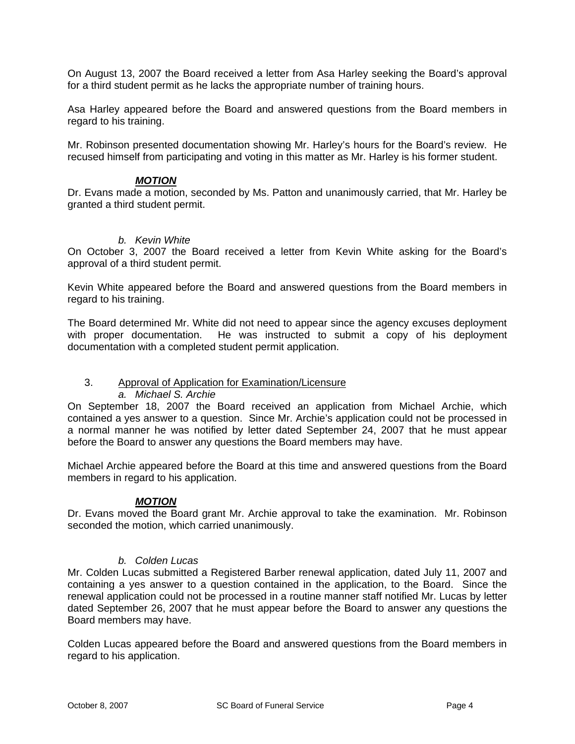On August 13, 2007 the Board received a letter from Asa Harley seeking the Board's approval for a third student permit as he lacks the appropriate number of training hours.

Asa Harley appeared before the Board and answered questions from the Board members in regard to his training.

Mr. Robinson presented documentation showing Mr. Harley's hours for the Board's review. He recused himself from participating and voting in this matter as Mr. Harley is his former student.

## *MOTION*

Dr. Evans made a motion, seconded by Ms. Patton and unanimously carried, that Mr. Harley be granted a third student permit.

## *b. Kevin White*

On October 3, 2007 the Board received a letter from Kevin White asking for the Board's approval of a third student permit.

Kevin White appeared before the Board and answered questions from the Board members in regard to his training.

The Board determined Mr. White did not need to appear since the agency excuses deployment with proper documentation. He was instructed to submit a copy of his deployment documentation with a completed student permit application.

# 3. Approval of Application for Examination/Licensure

#### *a. Michael S. Archie*

On September 18, 2007 the Board received an application from Michael Archie, which contained a yes answer to a question. Since Mr. Archie's application could not be processed in a normal manner he was notified by letter dated September 24, 2007 that he must appear before the Board to answer any questions the Board members may have.

Michael Archie appeared before the Board at this time and answered questions from the Board members in regard to his application.

# *MOTION*

Dr. Evans moved the Board grant Mr. Archie approval to take the examination. Mr. Robinson seconded the motion, which carried unanimously.

#### *b. Colden Lucas*

Mr. Colden Lucas submitted a Registered Barber renewal application, dated July 11, 2007 and containing a yes answer to a question contained in the application, to the Board. Since the renewal application could not be processed in a routine manner staff notified Mr. Lucas by letter dated September 26, 2007 that he must appear before the Board to answer any questions the Board members may have.

Colden Lucas appeared before the Board and answered questions from the Board members in regard to his application.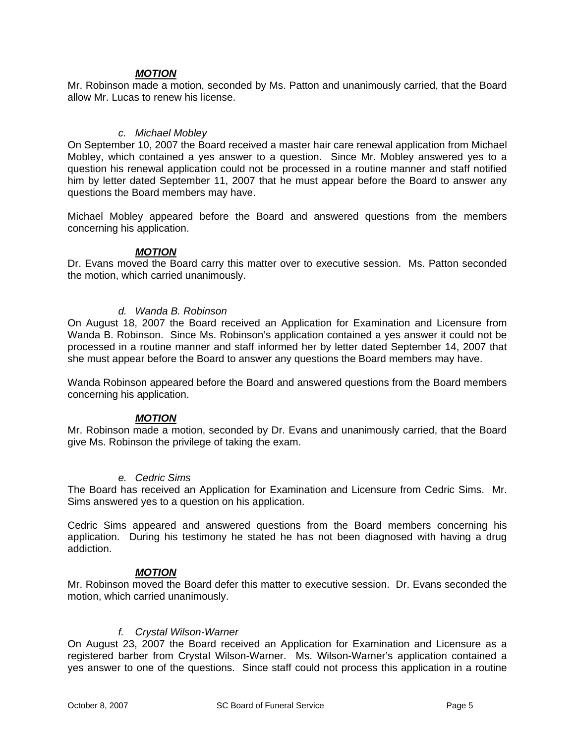## *MOTION*

Mr. Robinson made a motion, seconded by Ms. Patton and unanimously carried, that the Board allow Mr. Lucas to renew his license.

#### *c. Michael Mobley*

On September 10, 2007 the Board received a master hair care renewal application from Michael Mobley, which contained a yes answer to a question. Since Mr. Mobley answered yes to a question his renewal application could not be processed in a routine manner and staff notified him by letter dated September 11, 2007 that he must appear before the Board to answer any questions the Board members may have.

Michael Mobley appeared before the Board and answered questions from the members concerning his application.

#### *MOTION*

Dr. Evans moved the Board carry this matter over to executive session. Ms. Patton seconded the motion, which carried unanimously.

#### *d. Wanda B. Robinson*

On August 18, 2007 the Board received an Application for Examination and Licensure from Wanda B. Robinson. Since Ms. Robinson's application contained a yes answer it could not be processed in a routine manner and staff informed her by letter dated September 14, 2007 that she must appear before the Board to answer any questions the Board members may have.

Wanda Robinson appeared before the Board and answered questions from the Board members concerning his application.

#### *MOTION*

Mr. Robinson made a motion, seconded by Dr. Evans and unanimously carried, that the Board give Ms. Robinson the privilege of taking the exam.

#### *e. Cedric Sims*

The Board has received an Application for Examination and Licensure from Cedric Sims. Mr. Sims answered yes to a question on his application.

Cedric Sims appeared and answered questions from the Board members concerning his application. During his testimony he stated he has not been diagnosed with having a drug addiction.

#### *MOTION*

Mr. Robinson moved the Board defer this matter to executive session. Dr. Evans seconded the motion, which carried unanimously.

#### *f. Crystal Wilson-Warner*

On August 23, 2007 the Board received an Application for Examination and Licensure as a registered barber from Crystal Wilson-Warner. Ms. Wilson-Warner's application contained a yes answer to one of the questions. Since staff could not process this application in a routine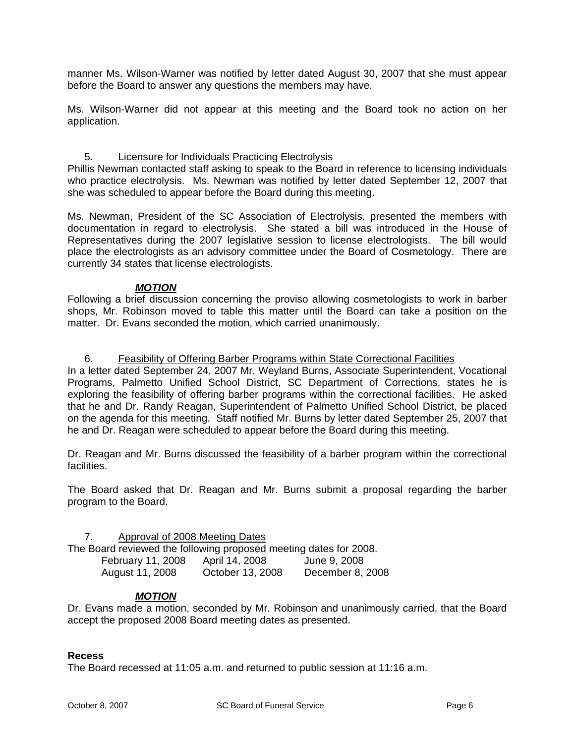manner Ms. Wilson-Warner was notified by letter dated August 30, 2007 that she must appear before the Board to answer any questions the members may have.

Ms. Wilson-Warner did not appear at this meeting and the Board took no action on her application.

#### 5. Licensure for Individuals Practicing Electrolysis

Phillis Newman contacted staff asking to speak to the Board in reference to licensing individuals who practice electrolysis. Ms. Newman was notified by letter dated September 12, 2007 that she was scheduled to appear before the Board during this meeting.

Ms. Newman, President of the SC Association of Electrolysis, presented the members with documentation in regard to electrolysis. She stated a bill was introduced in the House of Representatives during the 2007 legislative session to license electrologists. The bill would place the electrologists as an advisory committee under the Board of Cosmetology. There are currently 34 states that license electrologists.

#### *MOTION*

Following a brief discussion concerning the proviso allowing cosmetologists to work in barber shops, Mr. Robinson moved to table this matter until the Board can take a position on the matter. Dr. Evans seconded the motion, which carried unanimously.

#### 6. Feasibility of Offering Barber Programs within State Correctional Facilities

In a letter dated September 24, 2007 Mr. Weyland Burns, Associate Superintendent, Vocational Programs, Palmetto Unified School District, SC Department of Corrections, states he is exploring the feasibility of offering barber programs within the correctional facilities. He asked that he and Dr. Randy Reagan, Superintendent of Palmetto Unified School District, be placed on the agenda for this meeting. Staff notified Mr. Burns by letter dated September 25, 2007 that he and Dr. Reagan were scheduled to appear before the Board during this meeting.

Dr. Reagan and Mr. Burns discussed the feasibility of a barber program within the correctional facilities.

The Board asked that Dr. Reagan and Mr. Burns submit a proposal regarding the barber program to the Board.

#### 7. Approval of 2008 Meeting Dates

The Board reviewed the following proposed meeting dates for 2008.

| February 11, 2008 | April 14, 2008   | June 9, 2008     |
|-------------------|------------------|------------------|
| August 11, 2008   | October 13, 2008 | December 8, 2008 |

#### *MOTION*

Dr. Evans made a motion, seconded by Mr. Robinson and unanimously carried, that the Board accept the proposed 2008 Board meeting dates as presented.

#### **Recess**

The Board recessed at 11:05 a.m. and returned to public session at 11:16 a.m.